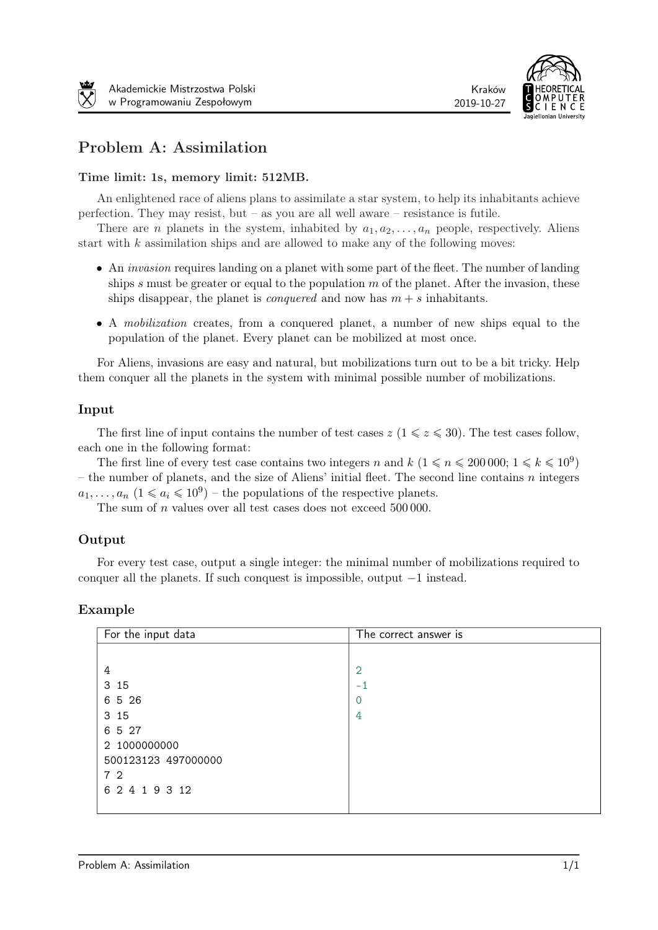



# Problem A: Assimilation

### Time limit: 1s, memory limit: 512MB.

An enlightened race of aliens plans to assimilate a star system, to help its inhabitants achieve perfection. They may resist, but – as you are all well aware – resistance is futile.

There are *n* planets in the system, inhabited by  $a_1, a_2, \ldots, a_n$  people, respectively. Aliens start with  $k$  assimilation ships and are allowed to make any of the following moves:

- An *invasion* requires landing on a planet with some part of the fleet. The number of landing ships  $s$  must be greater or equal to the population  $m$  of the planet. After the invasion, these ships disappear, the planet is *conquered* and now has  $m + s$  inhabitants.
- A mobilization creates, from a conquered planet, a number of new ships equal to the population of the planet. Every planet can be mobilized at most once.

For Aliens, invasions are easy and natural, but mobilizations turn out to be a bit tricky. Help them conquer all the planets in the system with minimal possible number of mobilizations.

#### Input

The first line of input contains the number of test cases  $z$  ( $1 \leq z \leq 30$ ). The test cases follow, each one in the following format:

The first line of every test case contains two integers *n* and  $k$  ( $1 \le n \le 200000$ ;  $1 \le k \le 10^9$ ) – the number of planets, and the size of Aliens' initial fleet. The second line contains  $n$  integers  $a_1, \ldots, a_n$   $(1 \le a_i \le 10^9)$  – the populations of the respective planets.

The sum of  $n$  values over all test cases does not exceed 500 000.

### Output

For every test case, output a single integer: the minimal number of mobilizations required to conquer all the planets. If such conquest is impossible, output *−*1 instead.

| For the input data  | The correct answer is |
|---------------------|-----------------------|
|                     |                       |
| 4                   | $\overline{2}$        |
| 3 15                | $-1$                  |
| 6 5 26              | 0                     |
| 3 15                | 4                     |
| 6 5 27              |                       |
| 2 1000000000        |                       |
| 500123123 497000000 |                       |
| 72                  |                       |
| 6 2 4 1 9 3 12      |                       |
|                     |                       |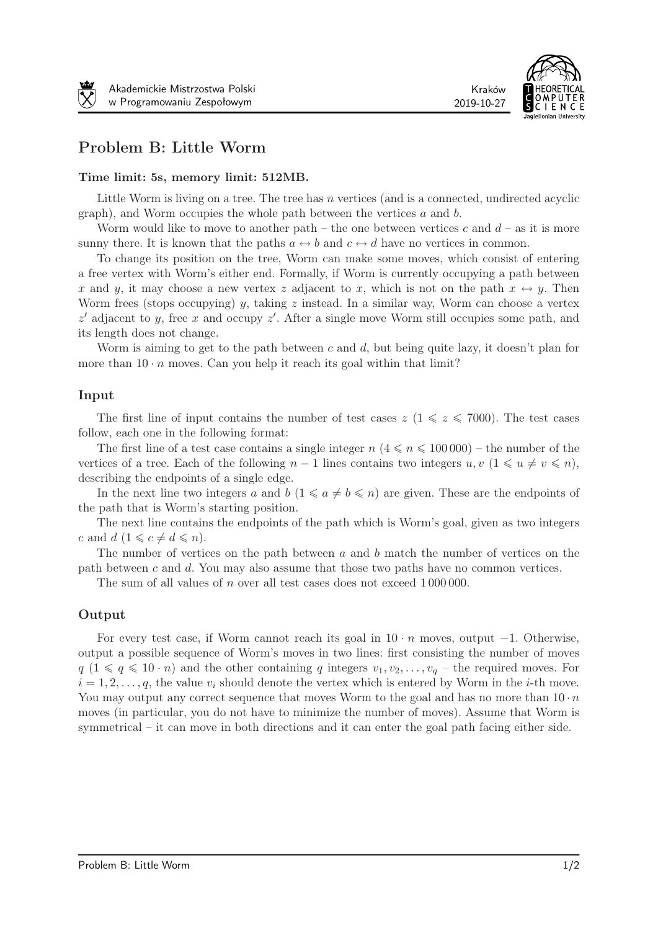

# Problem B: Little Worm

#### Time limit: 5s, memory limit: 512MB.

Little Worm is living on a tree. The tree has  $n$  vertices (and is a connected, undirected acyclic graph), and Worm occupies the whole path between the vertices  $a$  and  $b$ .

Worm would like to move to another path – the one between vertices  $c$  and  $d$  – as it is more sunny there. It is known that the paths  $a \leftrightarrow b$  and  $c \leftrightarrow d$  have no vertices in common.

To change its position on the tree, Worm can make some moves, which consist of entering a free vertex with Worm's either end. Formally, if Worm is currently occupying a path between x and y, it may choose a new vertex z adjacent to x, which is not on the path  $x \leftrightarrow y$ . Then Worm frees (stops occupying) y, taking z instead. In a similar way, Worm can choose a vertex *z'* adjacent to *y*, free *x* and occupy *z'*. After a single move Worm still occupies some path, and its length does not change.

Worm is aiming to get to the path between  $c$  and  $d$ , but being quite lazy, it doesn't plan for more than  $10 \cdot n$  moves. Can you help it reach its goal within that limit?

#### Input

The first line of input contains the number of test cases  $z \ (1 \leq z \leq 7000)$ . The test cases follow, each one in the following format:

The first line of a test case contains a single integer  $n \leq 4 \leq n \leq 100000$ ) – the number of the vertices of a tree. Each of the following  $n-1$  lines contains two integers  $u, v \ (1 \leq u \neq v \leq n)$ , describing the endpoints of a single edge.

In the next line two integers a and  $b$   $(1 \leq a \neq b \leq n)$  are given. These are the endpoints of the path that is Worm's starting position.

The next line contains the endpoints of the path which is Worm's goal, given as two integers c and  $d (1 \leqslant c \neq d \leqslant n).$ 

The number of vertices on the path between  $a$  and  $b$  match the number of vertices on the path between  $c$  and  $d$ . You may also assume that those two paths have no common vertices.

The sum of all values of  $n$  over all test cases does not exceed 1000000.

#### Output

For every test case, if Worm cannot reach its goal in 10 *·* moves, output *−*1. Otherwise, output a possible sequence of Worm's moves in two lines: first consisting the number of moves  $q$  ( $1 \leq q \leq 10 \cdot n$ ) and the other containing q integers  $v_1, v_2, \ldots, v_q$  – the required moves. For  $i = 1, 2, \ldots, q$ , the value  $v_i$  should denote the vertex which is entered by Worm in the *i*-th move. You may output any correct sequence that moves Worm to the goal and has no more than  $10 \cdot n$ moves (in particular, you do not have to minimize the number of moves). Assume that Worm is symmetrical – it can move in both directions and it can enter the goal path facing either side.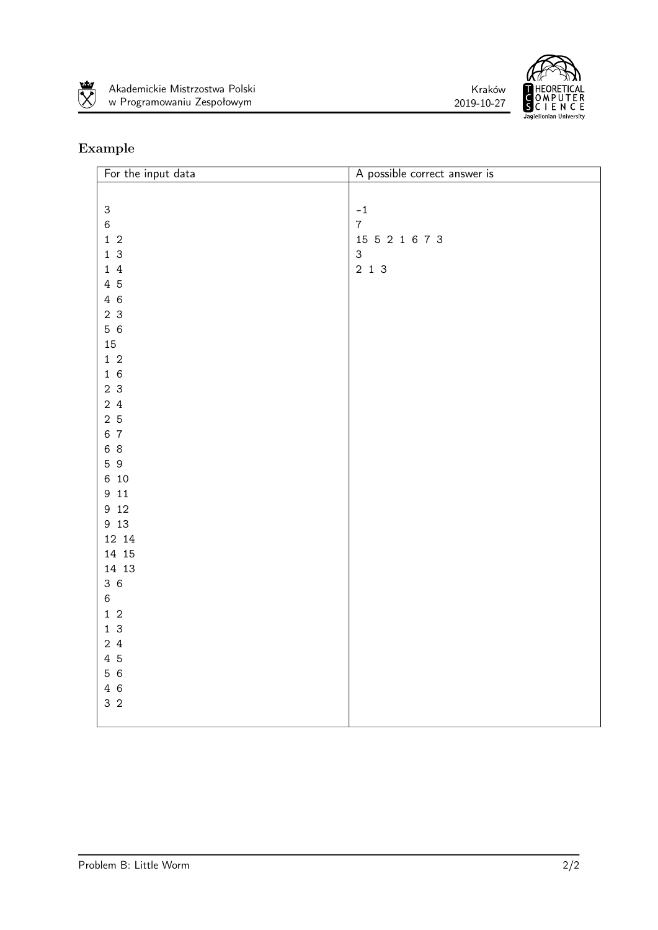





| For the input data        | A possible correct answer is |
|---------------------------|------------------------------|
|                           |                              |
| $\ensuremath{\mathsf{3}}$ | $^{\rm -1}$                  |
| $\,6$                     | $\overline{7}$               |
| $1\,$ 2                   | 15 5 2 1 6 7 3               |
| $1\overline{3}$           | $\mathsf 3$                  |
| 14                        | $2$ 1 3                      |
| 4 5                       |                              |
| 4 6                       |                              |
| 2 <sub>3</sub>            |                              |
| 56                        |                              |
| 15                        |                              |
| $1\,$ 2                   |                              |
| 16                        |                              |
| 2 <sub>3</sub>            |                              |
| 24                        |                              |
| 2 <sub>5</sub>            |                              |
| 6 7                       |                              |
| 6 8                       |                              |
| 59                        |                              |
| 6 10                      |                              |
| 9 1 1<br>9 1 2            |                              |
| 9 13                      |                              |
| 12 14                     |                              |
| 14 15                     |                              |
| 14 13                     |                              |
| 36                        |                              |
| $\,6\,$                   |                              |
| $1\,$ 2                   |                              |
| $1\overline{3}$           |                              |
| 24                        |                              |
| 4 5                       |                              |
| 56                        |                              |
| 46                        |                              |
| 3 <sub>2</sub>            |                              |
|                           |                              |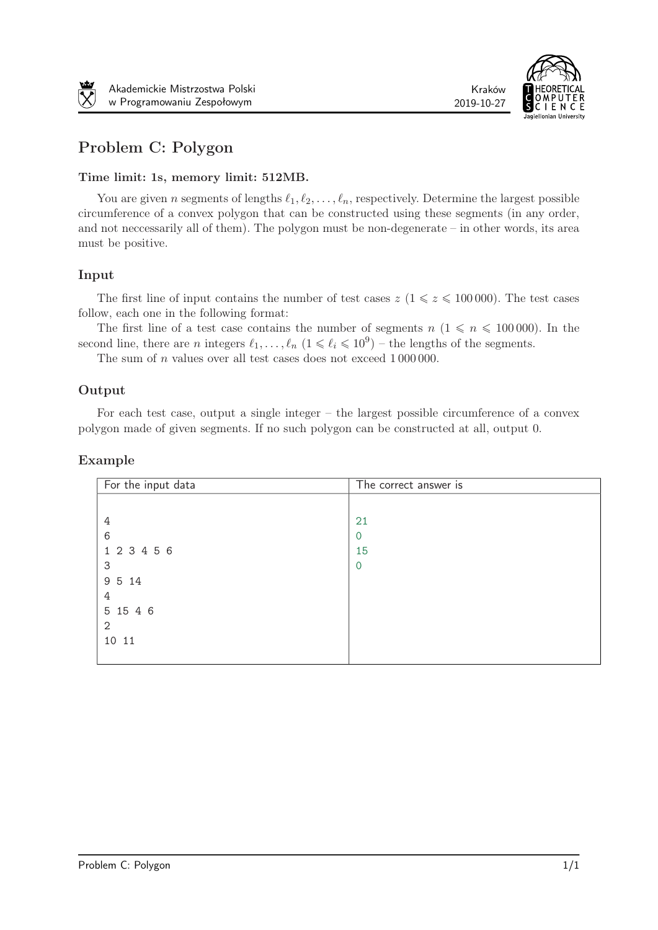



# Problem C: Polygon

### Time limit: 1s, memory limit: 512MB.

You are given *n* segments of lengths  $\ell_1, \ell_2, \ldots, \ell_n$ , respectively. Determine the largest possible circumference of a convex polygon that can be constructed using these segments (in any order, and not neccessarily all of them). The polygon must be non-degenerate – in other words, its area must be positive.

### Input

The first line of input contains the number of test cases  $z \ (1 \leq z \leq 100\,000)$ . The test cases follow, each one in the following format:

The first line of a test case contains the number of segments  $n (1 \leq n \leq 100000)$ . In the second line, there are *n* integers  $\ell_1, \ldots, \ell_n$   $(1 \leq \ell_i \leq 10^9)$  – the lengths of the segments.

The sum of  $n$  values over all test cases does not exceed  $1\,000\,000$ .

## Output

For each test case, output a single integer – the largest possible circumference of a convex polygon made of given segments. If no such polygon can be constructed at all, output 0.

| For the input data | The correct answer is |
|--------------------|-----------------------|
|                    |                       |
| 4                  | 21                    |
| 6                  | $\overline{0}$        |
| 1 2 3 4 5 6        | 15                    |
| 3                  | $\Omega$              |
| 9 5 14             |                       |
| 4                  |                       |
| 5 15 4 6           |                       |
| $\mathbf{2}$       |                       |
| 10 11              |                       |
|                    |                       |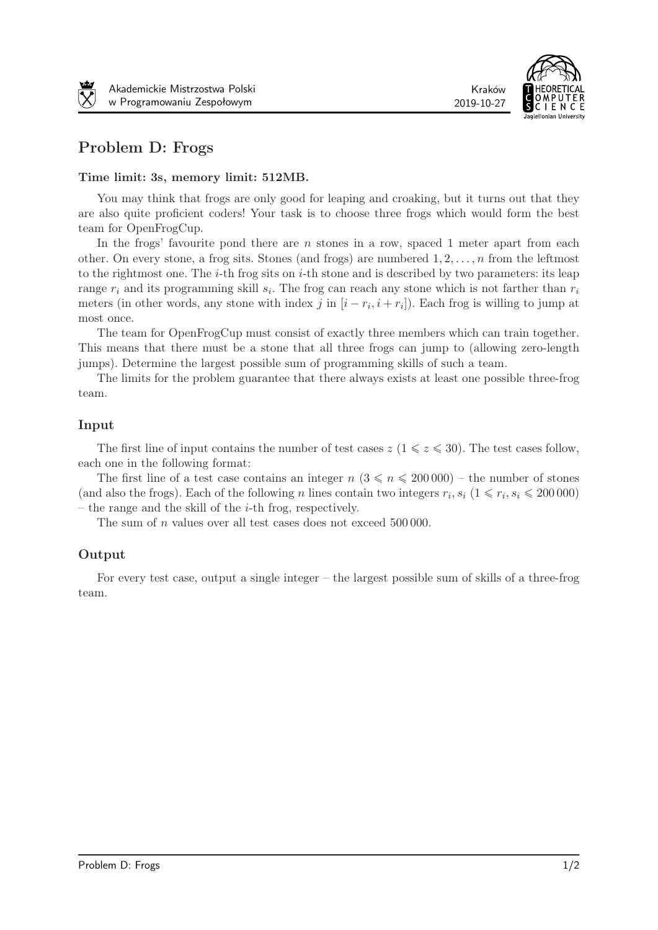



# Problem D: Frogs

#### Time limit: 3s, memory limit: 512MB.

You may think that frogs are only good for leaping and croaking, but it turns out that they are also quite proficient coders! Your task is to choose three frogs which would form the best team for OpenFrogCup.

In the frogs' favourite pond there are  $n$  stones in a row, spaced 1 meter apart from each other. On every stone, a frog sits. Stones (and frogs) are numbered 1*,* 2*, . . . ,*  from the leftmost to the rightmost one. The  $i$ -th frog sits on  $i$ -th stone and is described by two parameters: its leap range  $r_i$  and its programming skill  $s_i$ . The frog can reach any stone which is not farther than  $r_i$ meters (in other words, any stone with index  $j$  in  $[i - r_i, i + r_i]$ ). Each frog is willing to jump at most once.

The team for OpenFrogCup must consist of exactly three members which can train together. This means that there must be a stone that all three frogs can jump to (allowing zero-length jumps). Determine the largest possible sum of programming skills of such a team.

The limits for the problem guarantee that there always exists at least one possible three-frog team.

### Input

The first line of input contains the number of test cases  $z$  ( $1 \leq z \leq 30$ ). The test cases follow, each one in the following format:

The first line of a test case contains an integer  $n (3 \leq n \leq 200000)$  – the number of stones (and also the frogs). Each of the following *n* lines contain two integers  $r_i$ ,  $s_i$  ( $1 \le r_i$ ,  $s_i \le 200000$ ) – the range and the skill of the  $i$ -th frog, respectively.

The sum of  $n$  values over all test cases does not exceed  $500000$ .

## Output

For every test case, output a single integer – the largest possible sum of skills of a three-frog team.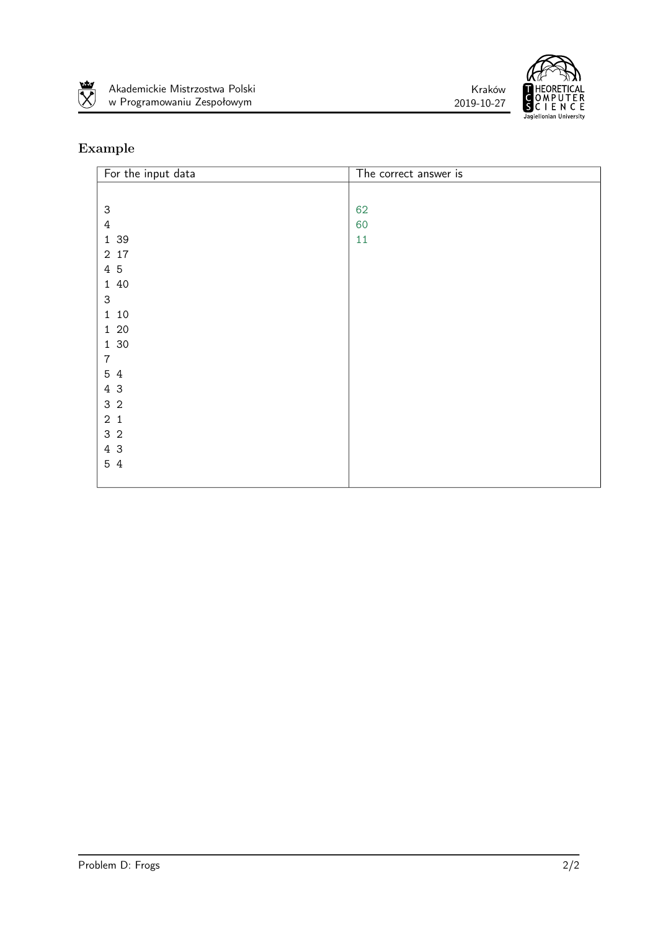





| For the input data        | The correct answer is |
|---------------------------|-----------------------|
|                           |                       |
| $\ensuremath{\mathsf{3}}$ | 62                    |
| $\overline{4}$            | 60                    |
| 1 39                      | $11\,$                |
| $2\;$ 17                  |                       |
| 4 5                       |                       |
| 1 40                      |                       |
| $\mathsf{3}$              |                       |
| 1 10                      |                       |
| $1\,$ 20 $\,$             |                       |
| 1 30                      |                       |
| $\boldsymbol{7}$          |                       |
| 5 4                       |                       |
| 4 3                       |                       |
| $3\,$ $2\,$               |                       |
| $2\,1$                    |                       |
| 3 <sub>2</sub>            |                       |
| $4\,3$                    |                       |
| 5 4                       |                       |
|                           |                       |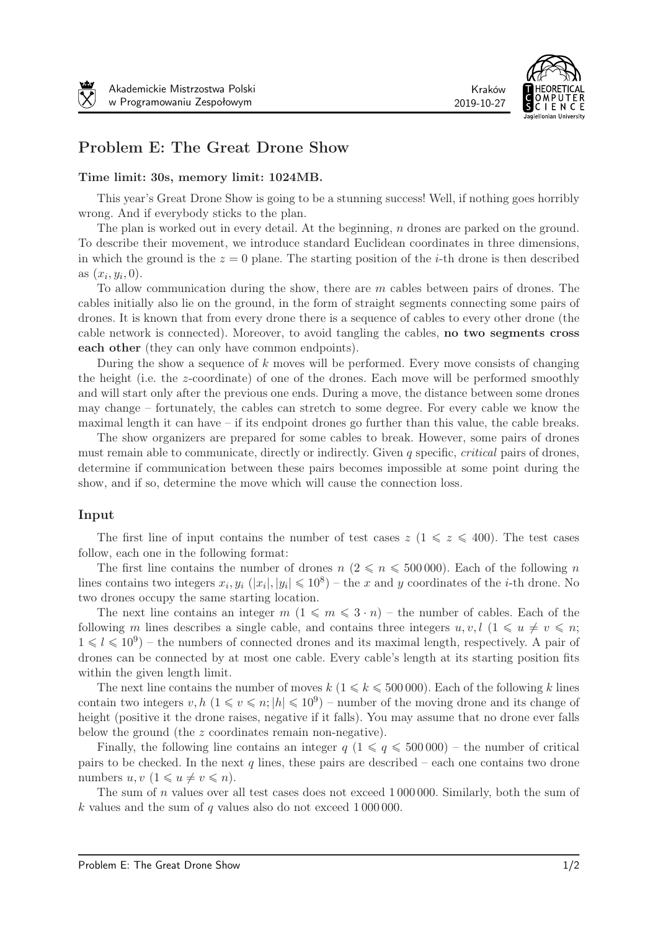

# Problem E: The Great Drone Show

#### Time limit: 30s, memory limit: 1024MB.

This year's Great Drone Show is going to be a stunning success! Well, if nothing goes horribly wrong. And if everybody sticks to the plan.

The plan is worked out in every detail. At the beginning,  $n$  drones are parked on the ground. To describe their movement, we introduce standard Euclidean coordinates in three dimensions, in which the ground is the  $z = 0$  plane. The starting position of the *i*-th drone is then described as  $(x_i, y_i, 0)$ .

To allow communication during the show, there are  $m$  cables between pairs of drones. The cables initially also lie on the ground, in the form of straight segments connecting some pairs of drones. It is known that from every drone there is a sequence of cables to every other drone (the cable network is connected). Moreover, to avoid tangling the cables, no two segments cross each other (they can only have common endpoints).

During the show a sequence of  $k$  moves will be performed. Every move consists of changing the height (i.e. the  $z$ -coordinate) of one of the drones. Each move will be performed smoothly and will start only after the previous one ends. During a move, the distance between some drones may change – fortunately, the cables can stretch to some degree. For every cable we know the maximal length it can have – if its endpoint drones go further than this value, the cable breaks.

The show organizers are prepared for some cables to break. However, some pairs of drones must remain able to communicate, directly or indirectly. Given  $q$  specific, *critical* pairs of drones, determine if communication between these pairs becomes impossible at some point during the show, and if so, determine the move which will cause the connection loss.

#### Input

The first line of input contains the number of test cases  $z$  ( $1 \le z \le 400$ ). The test cases follow, each one in the following format:

The first line contains the number of drones  $n (2 \leqslant n \leqslant 500000)$ . Each of the following n lines contains two integers  $x_i, y_i$  ( $|x_i|, |y_i| \leq 10^8$ ) – the  $x$  and  $y$  coordinates of the *i*-th drone. No two drones occupy the same starting location.

The next line contains an integer  $m$   $(1 \leqslant m \leqslant 3 \cdot n)$  – the number of cables. Each of the following *m* lines describes a single cable, and contains three integers  $u, v, l$  ( $1 \leq u \neq v \leq n$ ;  $1 \le l \le 10^9$ ) – the numbers of connected drones and its maximal length, respectively. A pair of drones can be connected by at most one cable. Every cable's length at its starting position fits within the given length limit.

The next line contains the number of moves  $k \ (1 \leq k \leq 500000)$ . Each of the following k lines contain two integers  $v, h \ (1 \le v \le n; |h| \le 10^9)$  – number of the moving drone and its change of height (positive it the drone raises, negative if it falls). You may assume that no drone ever falls below the ground (the  $z$  coordinates remain non-negative).

Finally, the following line contains an integer  $q$  ( $1 \leq q \leq 500000$ ) – the number of critical pairs to be checked. In the next q lines, these pairs are described – each one contains two drone numbers  $u, v \ (1 \leq u \neq v \leq n).$ 

The sum of  $n$  values over all test cases does not exceed 1 000 000. Similarly, both the sum of k values and the sum of  $q$  values also do not exceed 1 000 000.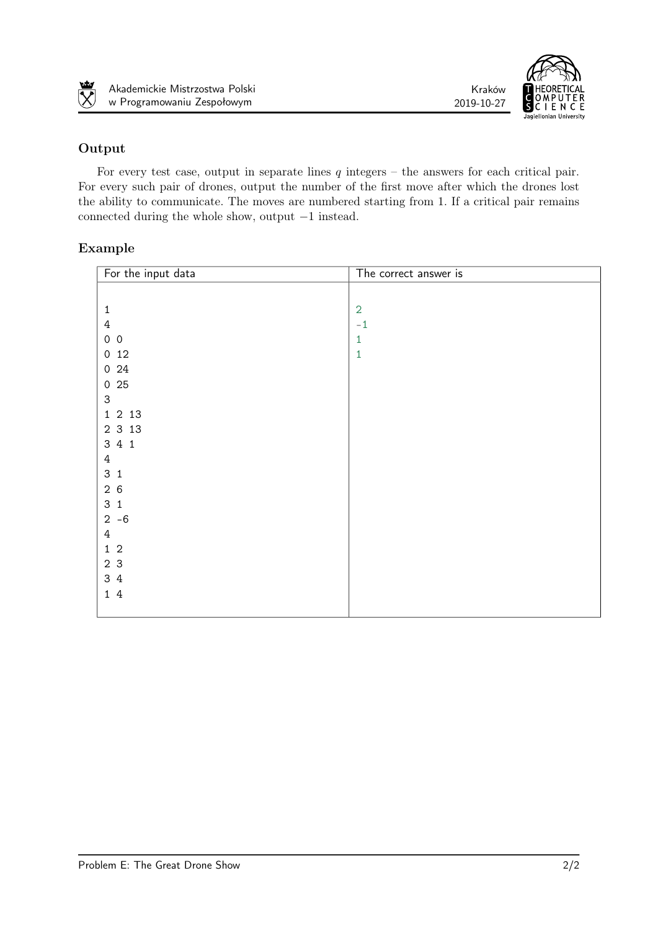



## Output

rsto  $\overline{\mathbf{X}}$ 

For every test case, output in separate lines  $q$  integers – the answers for each critical pair. For every such pair of drones, output the number of the first move after which the drones lost the ability to communicate. The moves are numbered starting from 1. If a critical pair remains connected during the whole show, output *−*1 instead.

| For the input data        | The correct answer is |
|---------------------------|-----------------------|
|                           |                       |
| $\mathbf 1$               | $\overline{2}$        |
| $\ensuremath{4}$          | $-1$                  |
| $0\quad 0$                | $\mathbf{1}$          |
| 012                       | $\mathbf{1}$          |
| $0\,$ 24 $\,$             |                       |
| 025                       |                       |
| $\ensuremath{\mathsf{3}}$ |                       |
| 1 2 13                    |                       |
| 2 3 1 3                   |                       |
| 3 4 1                     |                       |
| $\ensuremath{4}$          |                       |
| 3 <sub>1</sub>            |                       |
| 26                        |                       |
| 3 <sub>1</sub>            |                       |
| $2 - 6$                   |                       |
| $\ensuremath{4}$          |                       |
| $1\,$ $2\,$               |                       |
| $23$                      |                       |
| 34                        |                       |
| $1\,4$                    |                       |
|                           |                       |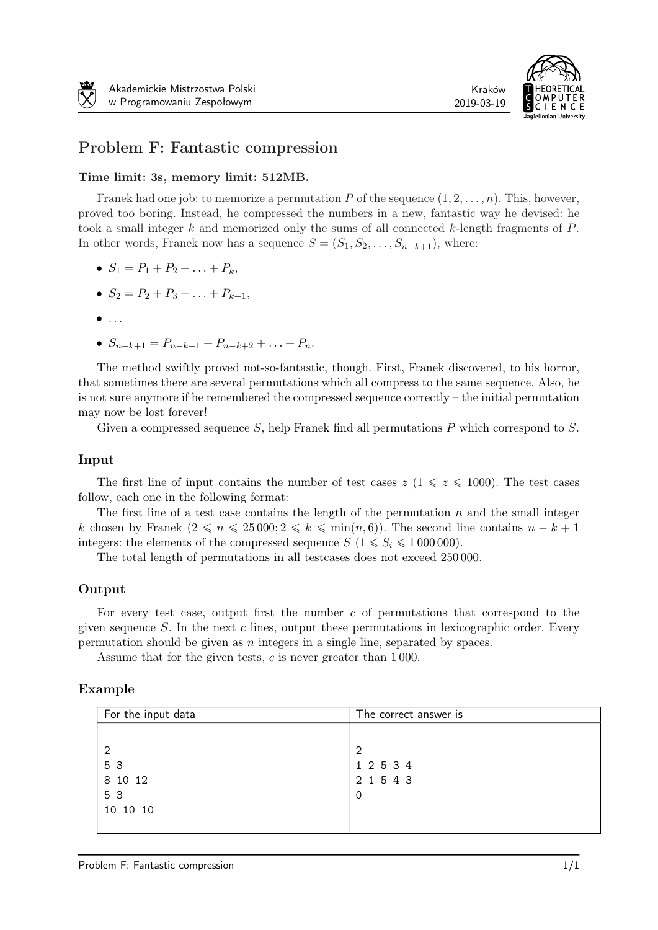

# Problem F: Fantastic compression

#### Time limit: 3s, memory limit: 512MB.

Franek had one job: to memorize a permutation  $P$  of the sequence  $(1, 2, \ldots, n)$ . This, however, proved too boring. Instead, he compressed the numbers in a new, fantastic way he devised: he took a small integer  $k$  and memorized only the sums of all connected  $k$ -length fragments of  $P$ . In other words, Franek now has a sequence  $S = (S_1, S_2, \ldots, S_{n-k+1})$ , where:

- $S_1 = P_1 + P_2 + \ldots + P_k$
- $S_2 = P_2 + P_3 + \ldots + P_{k+1}$
- *. . .*
- $S_{n-k+1} = P_{n-k+1} + P_{n-k+2} + \ldots + P_n.$

The method swiftly proved not-so-fantastic, though. First, Franek discovered, to his horror, that sometimes there are several permutations which all compress to the same sequence. Also, he is not sure anymore if he remembered the compressed sequence correctly – the initial permutation may now be lost forever!

Given a compressed sequence  $S$ , help Franek find all permutations  $P$  which correspond to  $S$ .

#### Input

The first line of input contains the number of test cases  $z \ (1 \leq z \leq 1000)$ . The test cases follow, each one in the following format:

The first line of a test case contains the length of the permutation  $n$  and the small integer k chosen by Franek  $(2 \leqslant n \leqslant 25000; 2 \leqslant k \leqslant \min(n, 6)$ . The second line contains  $n - k + 1$ integers: the elements of the compressed sequence  $S$  ( $1 \leq S_i \leq 1000000$ ).

The total length of permutations in all testcases does not exceed 250 000.

#### Output

For every test case, output first the number  $c$  of permutations that correspond to the given sequence  $S$ . In the next  $c$  lines, output these permutations in lexicographic order. Every permutation should be given as  $n$  integers in a single line, separated by spaces.

Assume that for the given tests,  $c$  is never greater than 1000.

| For the input data | The correct answer is |
|--------------------|-----------------------|
|                    |                       |
| $\overline{2}$     | $\overline{2}$        |
| 5 3                | 1 2 5 3 4             |
| 8 10 12            | 2 1 5 4 3             |
| 5 3                | $\circ$               |
| 10 10 10           |                       |
|                    |                       |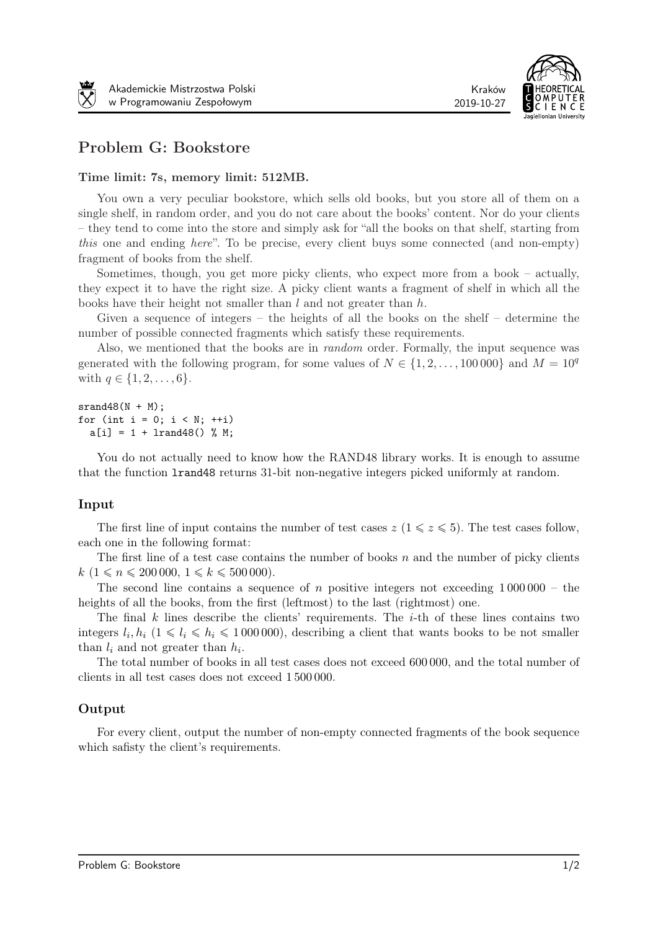

# Problem G: Bookstore

#### Time limit: 7s, memory limit: 512MB.

You own a very peculiar bookstore, which sells old books, but you store all of them on a single shelf, in random order, and you do not care about the books' content. Nor do your clients – they tend to come into the store and simply ask for "all the books on that shelf, starting from this one and ending here". To be precise, every client buys some connected (and non-empty) fragment of books from the shelf.

Sometimes, though, you get more picky clients, who expect more from a book – actually, they expect it to have the right size. A picky client wants a fragment of shelf in which all the books have their height not smaller than l and not greater than h.

Given a sequence of integers – the heights of all the books on the shelf – determine the number of possible connected fragments which satisfy these requirements.

Also, we mentioned that the books are in random order. Formally, the input sequence was generated with the following program, for some values of  $N \in \{1, 2, \ldots, 100\,000\}$  and  $M = 10^q$ with  $q \in \{1, 2, \ldots, 6\}.$ 

 $srand48(N + M)$ : for (int  $i = 0$ ;  $i < N$ ;  $++i$ )  $a[i] = 1 + 1$ rand $48()$  % M;

You do not actually need to know how the RAND48 library works. It is enough to assume that the function lrand48 returns 31-bit non-negative integers picked uniformly at random.

#### Input

The first line of input contains the number of test cases  $z \ (1 \leq z \leq 5)$ . The test cases follow, each one in the following format:

The first line of a test case contains the number of books  $n$  and the number of picky clients  $k(1 \leq n \leq 200\,000, 1 \leq k \leq 500\,000).$ 

The second line contains a sequence of  $n$  positive integers not exceeding 1 000 000 – the heights of all the books, from the first (leftmost) to the last (rightmost) one.

The final  $k$  lines describe the clients' requirements. The  $i$ -th of these lines contains two integers  $l_i, h_i$   $(1 \leq l_i \leq h_i \leq 1000000)$ , describing a client that wants books to be not smaller than  $l_i$  and not greater than  $h_i$ .

The total number of books in all test cases does not exceed 600 000, and the total number of clients in all test cases does not exceed 1 500 000.

#### Output

For every client, output the number of non-empty connected fragments of the book sequence which safisty the client's requirements.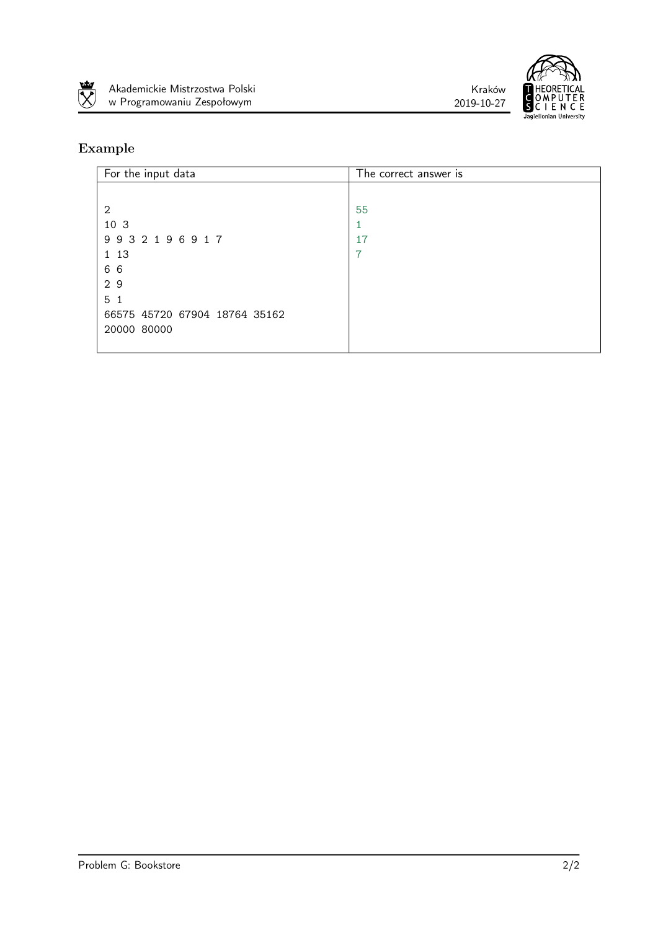





| For the input data            | The correct answer is |
|-------------------------------|-----------------------|
|                               |                       |
| 2                             | 55                    |
| 10 3                          |                       |
| 9932196917                    | 17                    |
| 1 13                          | 7                     |
| 66                            |                       |
| 29                            |                       |
| 5 <sub>1</sub>                |                       |
| 66575 45720 67904 18764 35162 |                       |
| 20000 80000                   |                       |
|                               |                       |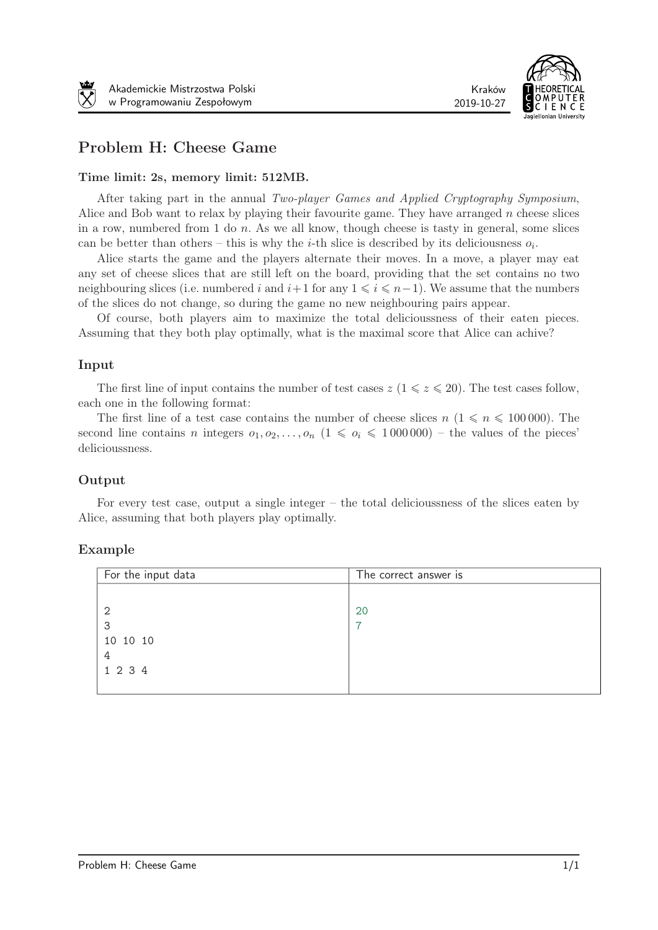

# Problem H: Cheese Game

#### Time limit: 2s, memory limit: 512MB.

After taking part in the annual Two-player Games and Applied Cryptography Symposium, Alice and Bob want to relax by playing their favourite game. They have arranged  $n$  cheese slices in a row, numbered from 1 do  $n$ . As we all know, though cheese is tasty in general, some slices can be better than others – this is why the *i*-th slice is described by its deliciousness  $o_i$ .

Alice starts the game and the players alternate their moves. In a move, a player may eat any set of cheese slices that are still left on the board, providing that the set contains no two neighbouring slices (i.e. numbered *i* and  $i+1$  for any  $1 \leq i \leq n-1$ ). We assume that the numbers of the slices do not change, so during the game no new neighbouring pairs appear.

Of course, both players aim to maximize the total delicioussness of their eaten pieces. Assuming that they both play optimally, what is the maximal score that Alice can achive?

#### Input

The first line of input contains the number of test cases  $z$  ( $1 \leq z \leq 20$ ). The test cases follow, each one in the following format:

The first line of a test case contains the number of cheese slices  $n (1 \leq n \leq 100000)$ . The second line contains *n* integers  $o_1, o_2, \ldots, o_n$   $(1 \leqslant o_i \leqslant 1000000)$  – the values of the pieces' delicioussness.

#### Output

For every test case, output a single integer – the total delicioussness of the slices eaten by Alice, assuming that both players play optimally.

| For the input data | The correct answer is |
|--------------------|-----------------------|
|                    |                       |
| 2                  | 20                    |
| 3                  | ⇁                     |
| 10 10 10           |                       |
| 4                  |                       |
| 1 2 3 4            |                       |
|                    |                       |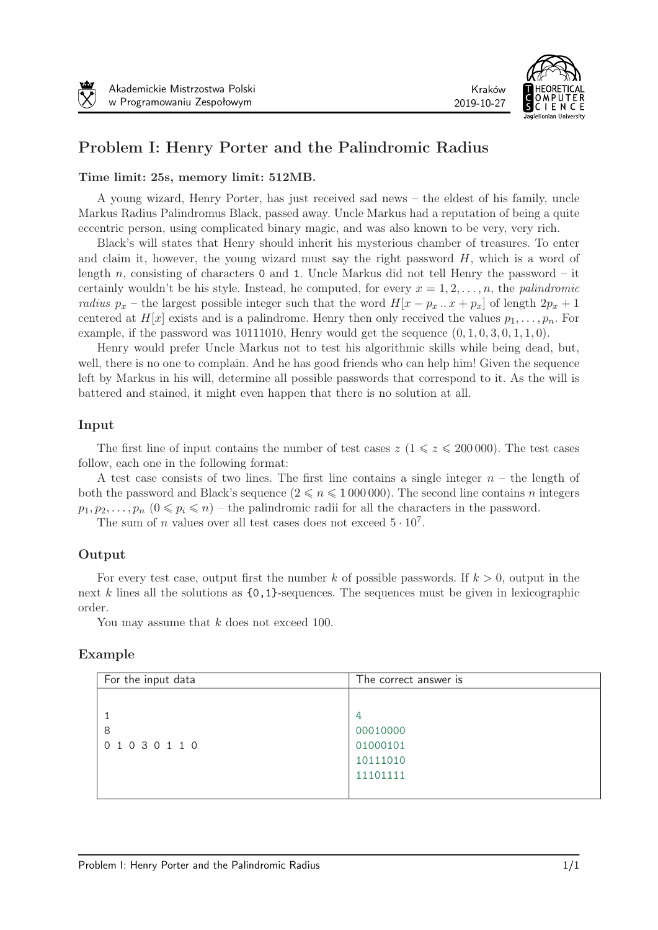



# Problem I: Henry Porter and the Palindromic Radius

#### Time limit: 25s, memory limit: 512MB.

A young wizard, Henry Porter, has just received sad news – the eldest of his family, uncle Markus Radius Palindromus Black, passed away. Uncle Markus had a reputation of being a quite eccentric person, using complicated binary magic, and was also known to be very, very rich.

Black's will states that Henry should inherit his mysterious chamber of treasures. To enter and claim it, however, the young wizard must say the right password  $H$ , which is a word of length  $n$ , consisting of characters 0 and 1. Uncle Markus did not tell Henry the password – it certainly wouldn't be his style. Instead, he computed, for every  $x = 1, 2, \ldots, n$ , the *palindromic* radius  $p_x$  – the largest possible integer such that the word  $H[x - p_x \ldots x + p_x]$  of length  $2p_x + 1$ centered at  $H[x]$  exists and is a palindrome. Henry then only received the values  $p_1, \ldots, p_n$ . For example, if the password was  $10111010$ , Henry would get the sequence  $(0, 1, 0, 3, 0, 1, 1, 0)$ .

Henry would prefer Uncle Markus not to test his algorithmic skills while being dead, but, well, there is no one to complain. And he has good friends who can help him! Given the sequence left by Markus in his will, determine all possible passwords that correspond to it. As the will is battered and stained, it might even happen that there is no solution at all.

### Input

The first line of input contains the number of test cases  $z \ (1 \leq z \leq 200000)$ . The test cases follow, each one in the following format:

A test case consists of two lines. The first line contains a single integer  $n -$  the length of both the password and Black's sequence  $(2 \le n \le 1000000)$ . The second line contains *n* integers  $p_1, p_2, \ldots, p_n$   $(0 \leq p_i \leq n)$  – the palindromic radii for all the characters in the password.

The sum of *n* values over all test cases does not exceed  $5 \cdot 10^7$ .

### Output

For every test case, output first the number  $k$  of possible passwords. If  $k > 0$ , output in the next  $k$  lines all the solutions as  ${0,1}$ -sequences. The sequences must be given in lexicographic order.

You may assume that  $k$  does not exceed 100.

| For the input data | The correct answer is |
|--------------------|-----------------------|
|                    |                       |
|                    | 4                     |
| 8                  | 00010000              |
| 01030110           | 01000101              |
|                    | 10111010              |
|                    | 11101111              |
|                    |                       |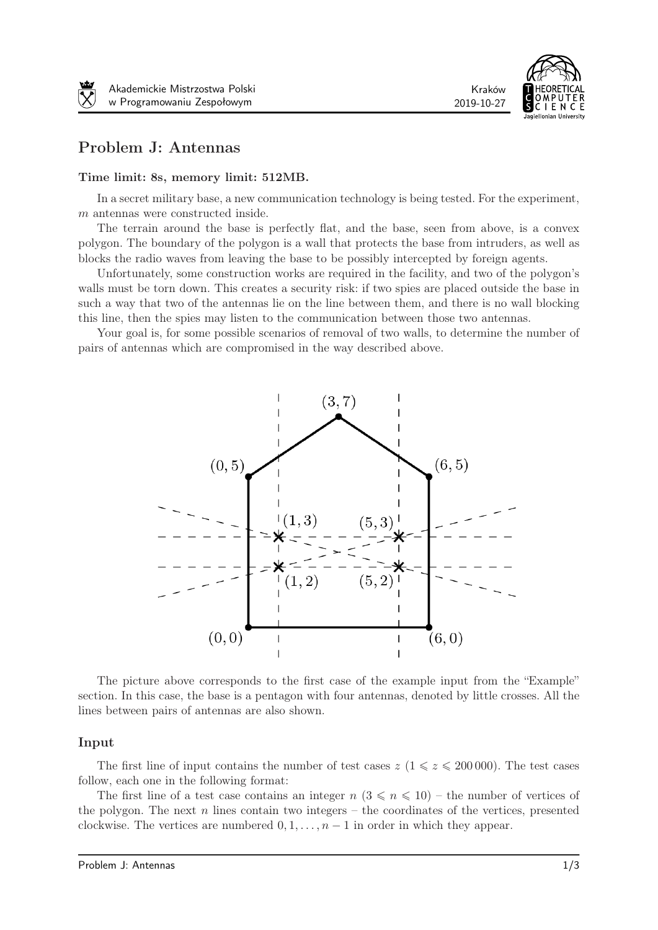

2019-10-27

# Problem J: Antennas

#### Time limit: 8s, memory limit: 512MB.

In a secret military base, a new communication technology is being tested. For the experiment,  $m$  antennas were constructed inside.

The terrain around the base is perfectly flat, and the base, seen from above, is a convex polygon. The boundary of the polygon is a wall that protects the base from intruders, as well as blocks the radio waves from leaving the base to be possibly intercepted by foreign agents.

Unfortunately, some construction works are required in the facility, and two of the polygon's walls must be torn down. This creates a security risk: if two spies are placed outside the base in such a way that two of the antennas lie on the line between them, and there is no wall blocking this line, then the spies may listen to the communication between those two antennas.

Your goal is, for some possible scenarios of removal of two walls, to determine the number of pairs of antennas which are compromised in the way described above.



The picture above corresponds to the first case of the example input from the "Example" section. In this case, the base is a pentagon with four antennas, denoted by little crosses. All the lines between pairs of antennas are also shown.

#### Input

The first line of input contains the number of test cases  $z/(1 \leq z \leq 200000)$ . The test cases follow, each one in the following format:

The first line of a test case contains an integer  $n (3 \leq n \leq 10)$  – the number of vertices of the polygon. The next  $n$  lines contain two integers – the coordinates of the vertices, presented clockwise. The vertices are numbered  $0, 1, \ldots, n-1$  in order in which they appear.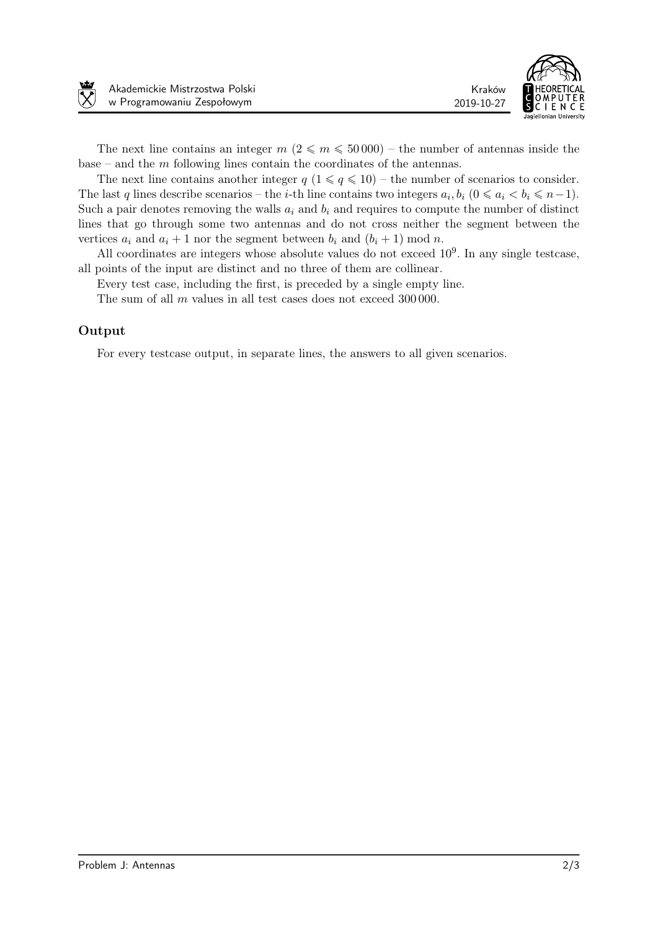



The next line contains an integer  $m$  ( $2 \le m \le 50000$ ) – the number of antennas inside the base – and the  $m$  following lines contain the coordinates of the antennas.

The next line contains another integer  $q$  ( $1 \leq q \leq 10$ ) – the number of scenarios to consider. The last *q* lines describe scenarios – the *i*-th line contains two integers  $a_i, b_i$  ( $0 \le a_i \le b_i \le n-1$ ). Such a pair denotes removing the walls  $a_i$  and  $b_i$  and requires to compute the number of distinct lines that go through some two antennas and do not cross neither the segment between the vertices  $a_i$  and  $a_i + 1$  nor the segment between  $b_i$  and  $(b_i + 1)$  mod n.

All coordinates are integers whose absolute values do not exceed  $10<sup>9</sup>$ . In any single testcase, all points of the input are distinct and no three of them are collinear.

Every test case, including the first, is preceded by a single empty line.

The sum of all  $m$  values in all test cases does not exceed 300 000.

### Output

For every testcase output, in separate lines, the answers to all given scenarios.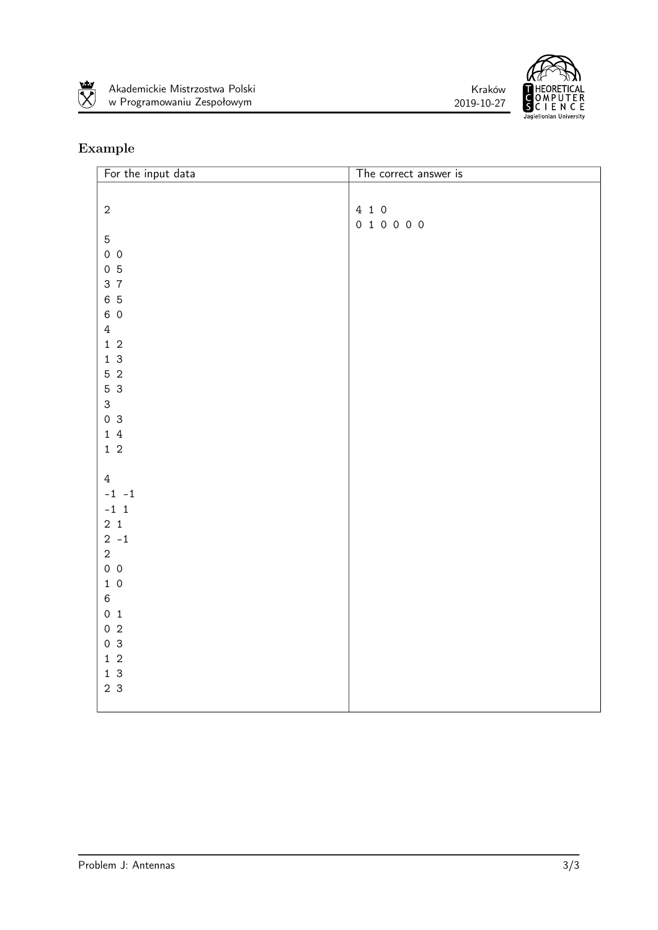





| For the input data                          | The correct answer is |
|---------------------------------------------|-----------------------|
|                                             |                       |
| $\sqrt{2}$                                  | 4 1 0                 |
|                                             | 0 1 0 0 0 0           |
| $\mathbf 5$                                 |                       |
| $0\quad 0$                                  |                       |
| 0 <sub>5</sub>                              |                       |
| 3 7                                         |                       |
| 6 5                                         |                       |
| 6 0                                         |                       |
| $\ensuremath{4}$                            |                       |
| $1\,$ 2                                     |                       |
| 13                                          |                       |
| $5\,$ 2                                     |                       |
| 5 3                                         |                       |
| $\ensuremath{\mathsf{3}}$<br>0 <sup>3</sup> |                       |
| $1\,4$                                      |                       |
| $1\,2$                                      |                       |
|                                             |                       |
| $\overline{4}$                              |                       |
| $-1 -1$                                     |                       |
| $-1$ 1                                      |                       |
| $2 \quad 1$                                 |                       |
| $2 - 1$                                     |                       |
| $\sqrt{2}$                                  |                       |
| $0\quad 0$                                  |                       |
| $1\,$ 0                                     |                       |
| $\,6$                                       |                       |
| 0 <sub>1</sub>                              |                       |
| $0\,2$                                      |                       |
| 0 <sup>3</sup><br>$1\,$ 2                   |                       |
| $1\overline{3}$                             |                       |
| 2 <sub>3</sub>                              |                       |
|                                             |                       |
|                                             |                       |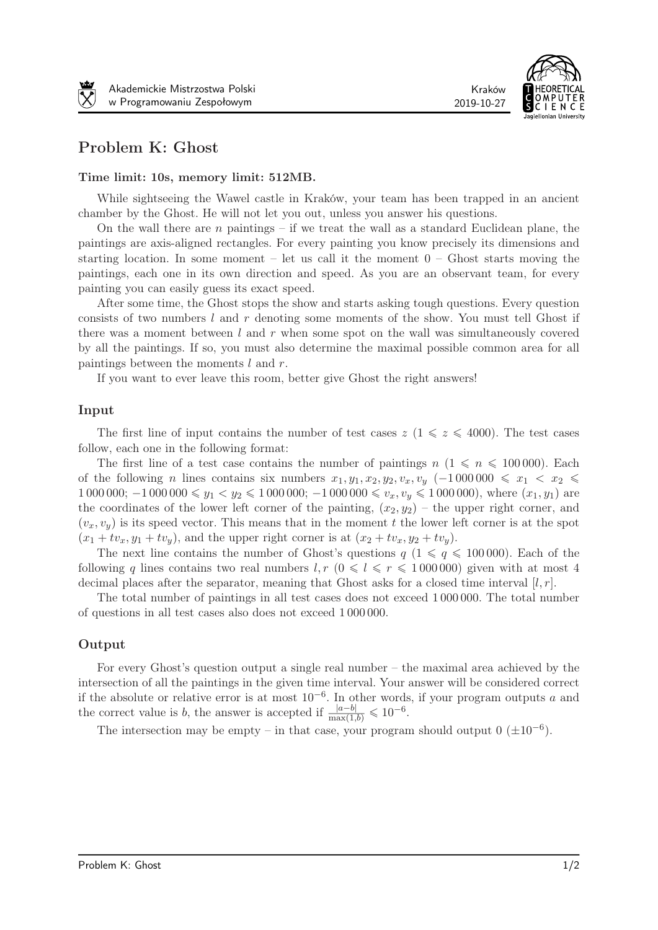



# Problem K: Ghost

#### Time limit: 10s, memory limit: 512MB.

While sightseeing the Wawel castle in Kraków, your team has been trapped in an ancient chamber by the Ghost. He will not let you out, unless you answer his questions.

On the wall there are  $n$  paintings – if we treat the wall as a standard Euclidean plane, the paintings are axis-aligned rectangles. For every painting you know precisely its dimensions and starting location. In some moment – let us call it the moment  $0$  – Ghost starts moving the paintings, each one in its own direction and speed. As you are an observant team, for every painting you can easily guess its exact speed.

After some time, the Ghost stops the show and starts asking tough questions. Every question consists of two numbers  $l$  and  $r$  denoting some moments of the show. You must tell Ghost if there was a moment between  $l$  and  $r$  when some spot on the wall was simultaneously covered by all the paintings. If so, you must also determine the maximal possible common area for all paintings between the moments  $l$  and  $r$ .

If you want to ever leave this room, better give Ghost the right answers!

#### Input

The first line of input contains the number of test cases  $z \ (1 \leqslant z \leqslant 4000)$ . The test cases follow, each one in the following format:

The first line of a test case contains the number of paintings  $n \ (1 \leqslant n \leqslant 100\,000)$ . Each of the following *n* lines contains six numbers  $x_1, y_1, x_2, y_2, v_x, v_y$  (-1000000  $\leq x_1 < x_2$ ) 1 000 000;  $-1000000 \le y_1 < y_2 \le 1000000$ ;  $-1000000 \le v_x, v_y \le 1000000$ , where  $(x_1, y_1)$  are the coordinates of the lower left corner of the painting,  $(x_2, y_2)$  – the upper right corner, and  $(v_x, v_y)$  is its speed vector. This means that in the moment t the lower left corner is at the spot  $(x_1 + tv_x, y_1 + tv_y)$ , and the upper right corner is at  $(x_2 + tv_x, y_2 + tv_y)$ .

The next line contains the number of Ghost's questions  $q$  ( $1 \leq q \leq 100000$ ). Each of the following q lines contains two real numbers  $l, r \ (0 \leq l \leq r \leq 1000000)$  given with at most 4 decimal places after the separator, meaning that Ghost asks for a closed time interval  $[l, r]$ .

The total number of paintings in all test cases does not exceed 1 000 000. The total number of questions in all test cases also does not exceed 1 000 000.

#### Output

For every Ghost's question output a single real number – the maximal area achieved by the intersection of all the paintings in the given time interval. Your answer will be considered correct if the absolute or relative error is at most 10*−*<sup>6</sup> . In other words, if your program outputs and the correct value is b, the answer is accepted if  $\frac{|a-b|}{\max(1,b)} \leq 10^{-6}$ .

The intersection may be empty – in that case, your program should output  $0 \ (\pm 10^{-6})$ .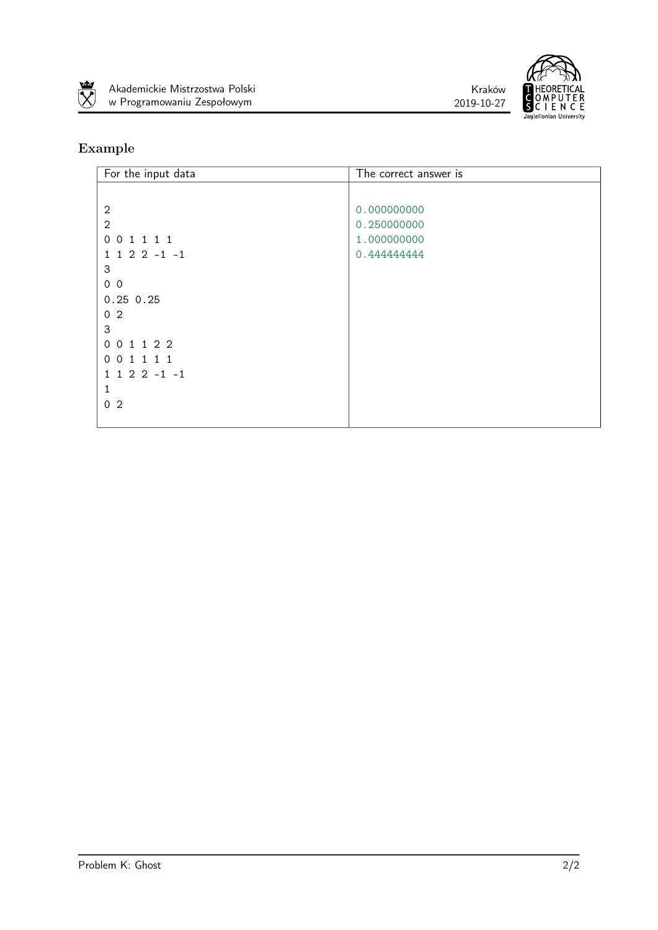





| For the input data | The correct answer is |
|--------------------|-----------------------|
|                    |                       |
| $\overline{2}$     | 0.000000000           |
| $\mathbf{2}$       | 0.250000000           |
| 0 0 1 1 1 1        | 1.000000000           |
| $1 1 2 2 -1 -1$    | 0.444444444           |
| 3                  |                       |
| 0 <sub>0</sub>     |                       |
| $0.25$ 0.25        |                       |
| 0 <sub>2</sub>     |                       |
| 3                  |                       |
| 0 0 1 1 2 2        |                       |
| 0 0 1 1 1 1        |                       |
| $1 1 2 2 -1 -1$    |                       |
| 1                  |                       |
| 0 <sub>2</sub>     |                       |
|                    |                       |